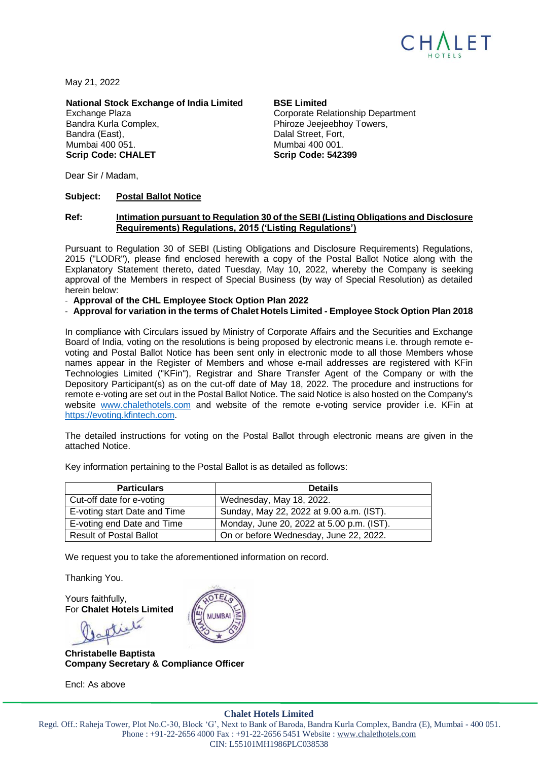

May 21, 2022

**National Stock Exchange of India Limited BSE Limited**

Bandra Kurla Complex, **Phiroze Jeejeebhoy Towers**, Bandra (East), Bandra (East), Bandra (East), Dalal Street, Fort, Mumbai 400 051. Mumbai 400 001. **Scrip Code: CHALET Scrip Code: 542399**

Exchange Plaza **Comporate Relationship Department** 

Dear Sir / Madam,

#### **Subject: Postal Ballot Notice**

#### **Ref: Intimation pursuant to Regulation 30 of the SEBI (Listing Obligations and Disclosure Requirements) Regulations, 2015 ('Listing Regulations')**

Pursuant to Regulation 30 of SEBI (Listing Obligations and Disclosure Requirements) Regulations, 2015 ("LODR"), please find enclosed herewith a copy of the Postal Ballot Notice along with the Explanatory Statement thereto, dated Tuesday, May 10, 2022, whereby the Company is seeking approval of the Members in respect of Special Business (by way of Special Resolution) as detailed herein below:

- **Approval of the CHL Employee Stock Option Plan 2022**

#### - **Approval for variation in the terms of Chalet Hotels Limited - Employee Stock Option Plan 2018**

In compliance with Circulars issued by Ministry of Corporate Affairs and the Securities and Exchange Board of India, voting on the resolutions is being proposed by electronic means i.e. through remote evoting and Postal Ballot Notice has been sent only in electronic mode to all those Members whose names appear in the Register of Members and whose e-mail addresses are registered with KFin Technologies Limited ("KFin"), Registrar and Share Transfer Agent of the Company or with the Depository Participant(s) as on the cut-off date of May 18, 2022. The procedure and instructions for remote e-voting are set out in the Postal Ballot Notice. The said Notice is also hosted on the Company's website [www.chalethotels.com](http://www.chalethotels.com/) and website of the remote e-voting service provider i.e. KFin at [https://evoting.kfintech.com.](https://evoting.kfintech.com/)

The detailed instructions for voting on the Postal Ballot through electronic means are given in the attached Notice.

| <b>Particulars</b>           | <b>Details</b>                            |
|------------------------------|-------------------------------------------|
| Cut-off date for e-voting    | Wednesday, May 18, 2022.                  |
| E-voting start Date and Time | Sunday, May 22, 2022 at 9.00 a.m. (IST).  |
| E-voting end Date and Time   | Monday, June 20, 2022 at 5.00 p.m. (IST). |

Result of Postal Ballot On or before Wednesday, June 22, 2022.

Key information pertaining to the Postal Ballot is as detailed as follows:

We request you to take the aforementioned information on record.

Thanking You.

Yours faithfully, For **Chalet Hotels Limited**

**Christabelle Baptista Company Secretary & Compliance Officer**

Encl: As above



#### **Chalet Hotels Limited**

Regd. Off.: Raheja Tower, Plot No.C-30, Block 'G', Next to Bank of Baroda, Bandra Kurla Complex, Bandra (E), Mumbai - 400 051. Phone : +91-22-2656 4000 Fax : +91-22-2656 5451 Website : [www.chalethotels.com](http://www.chalethotels.com/) CIN: L55101MH1986PLC038538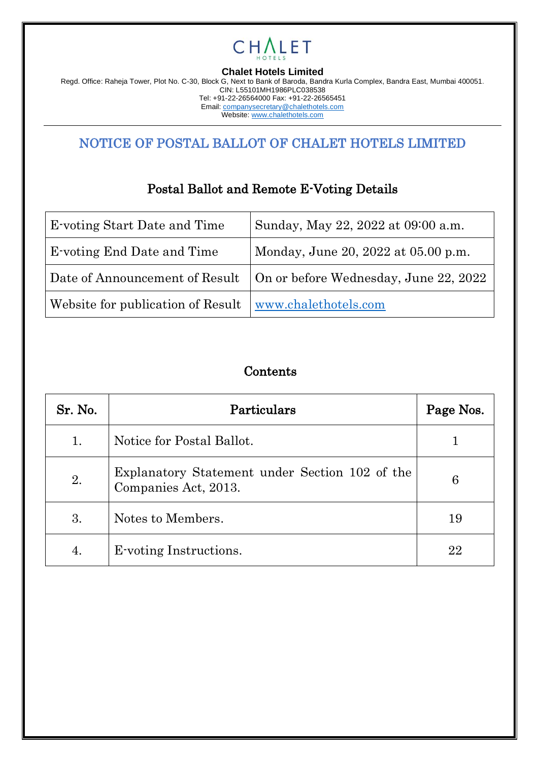

**Chalet Hotels Limited**

Regd. Office: Raheja Tower, Plot No. C-30, Block G, Next to Bank of Baroda, Bandra Kurla Complex, Bandra East, Mumbai 400051. CIN: L55101MH1986PLC038538 Tel: +91-22-26564000 Fax: +91-22-26565451 Email[: companysecretary@chalethotels.com](mailto:companysecretary@chalethotels.com)

Website: [www.chalethotels.com](http://www.chalethotels.com/)

# NOTICE OF POSTAL BALLOT OF CHALET HOTELS LIMITED

# Postal Ballot and Remote E-Voting Details

| <b>E</b> -voting Start Date and Time | Sunday, May 22, 2022 at 09:00 a.m.                                     |
|--------------------------------------|------------------------------------------------------------------------|
| <b>E</b> -voting End Date and Time   | Monday, June 20, 2022 at 05.00 p.m.                                    |
|                                      | Date of Announcement of Result   On or before Wednesday, June 22, 2022 |
| Website for publication of Result    | www.chalethotels.com                                                   |

# Contents

| Sr. No. | Particulars                                                            | Page Nos. |
|---------|------------------------------------------------------------------------|-----------|
| 1.      | Notice for Postal Ballot.                                              |           |
| 2.      | Explanatory Statement under Section 102 of the<br>Companies Act, 2013. | 6         |
| 3.      | Notes to Members.                                                      | 19        |
| 4.      | E-voting Instructions.                                                 | 22        |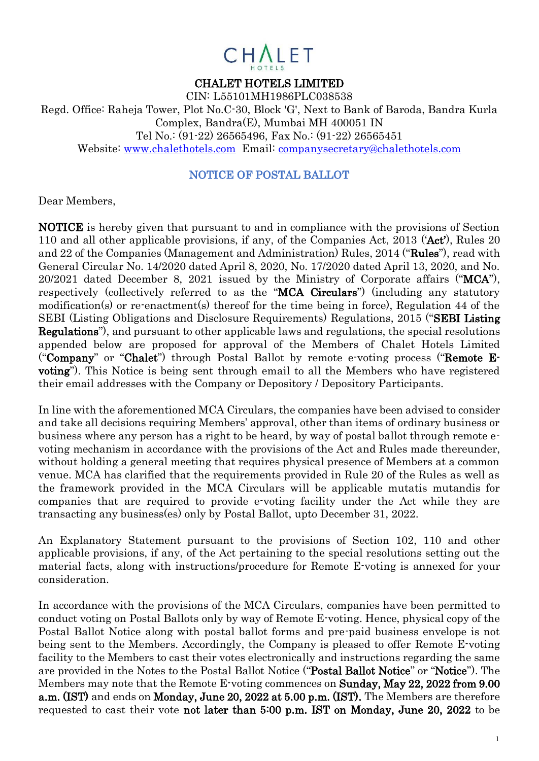

#### CHALET HOTELS LIMITED

CIN: L55101MH1986PLC038538 Regd. Office: Raheja Tower, Plot No.C-30, Block 'G', Next to Bank of Baroda, Bandra Kurla Complex, Bandra(E), Mumbai MH 400051 IN Tel No.: (91-22) 26565496, Fax No.: (91-22) 26565451 Website: [www.chalethotels.com](http://www.chalethotels.com/) Email: companysecretary@chalethotels.com

#### NOTICE OF POSTAL BALLOT

Dear Members,

NOTICE is hereby given that pursuant to and in compliance with the provisions of Section 110 and all other applicable provisions, if any, of the Companies Act, 2013 ('Act'), Rules 20 and 22 of the Companies (Management and Administration) Rules, 2014 ("Rules"), read with General Circular No. 14/2020 dated April 8, 2020, No. 17/2020 dated April 13, 2020, and No. 20/2021 dated December 8, 2021 issued by the Ministry of Corporate affairs ("MCA"), respectively (collectively referred to as the "MCA Circulars") (including any statutory modification(s) or re-enactment(s) thereof for the time being in force), Regulation 44 of the SEBI (Listing Obligations and Disclosure Requirements) Regulations, 2015 ("SEBI Listing Regulations"), and pursuant to other applicable laws and regulations, the special resolutions appended below are proposed for approval of the Members of Chalet Hotels Limited ("Company" or "Chalet") through Postal Ballot by remote e-voting process ("Remote Evoting"). This Notice is being sent through email to all the Members who have registered their email addresses with the Company or Depository / Depository Participants.

In line with the aforementioned MCA Circulars, the companies have been advised to consider and take all decisions requiring Members' approval, other than items of ordinary business or business where any person has a right to be heard, by way of postal ballot through remote evoting mechanism in accordance with the provisions of the Act and Rules made thereunder, without holding a general meeting that requires physical presence of Members at a common venue. MCA has clarified that the requirements provided in Rule 20 of the Rules as well as the framework provided in the MCA Circulars will be applicable mutatis mutandis for companies that are required to provide e-voting facility under the Act while they are transacting any business(es) only by Postal Ballot, upto December 31, 2022.

An Explanatory Statement pursuant to the provisions of Section 102, 110 and other applicable provisions, if any, of the Act pertaining to the special resolutions setting out the material facts, along with instructions/procedure for Remote E-voting is annexed for your consideration.

In accordance with the provisions of the MCA Circulars, companies have been permitted to conduct voting on Postal Ballots only by way of Remote E-voting. Hence, physical copy of the Postal Ballot Notice along with postal ballot forms and pre-paid business envelope is not being sent to the Members. Accordingly, the Company is pleased to offer Remote E-voting facility to the Members to cast their votes electronically and instructions regarding the same are provided in the Notes to the Postal Ballot Notice ("Postal Ballot Notice" or "Notice"). The Members may note that the Remote E-voting commences on Sunday, May 22, 2022 from 9.00 a.m. (IST) and ends on Monday, June 20, 2022 at 5.00 p.m. (IST). The Members are therefore requested to cast their vote not later than 5:00 p.m. IST on Monday, June 20, 2022 to be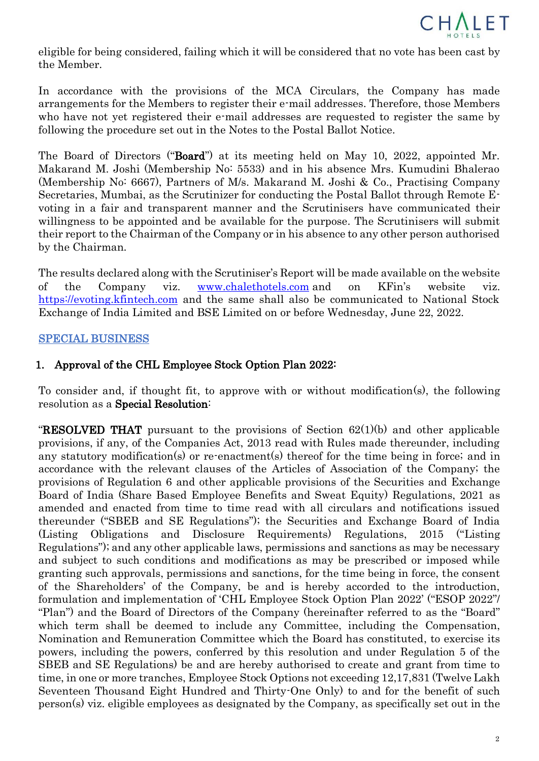

eligible for being considered, failing which it will be considered that no vote has been cast by the Member.

In accordance with the provisions of the MCA Circulars, the Company has made arrangements for the Members to register their e-mail addresses. Therefore, those Members who have not yet registered their e-mail addresses are requested to register the same by following the procedure set out in the Notes to the Postal Ballot Notice.

The Board of Directors ("Board") at its meeting held on May 10, 2022, appointed Mr. Makarand M. Joshi (Membership No: 5533) and in his absence Mrs. Kumudini Bhalerao (Membership No: 6667), Partners of M/s. Makarand M. Joshi & Co., Practising Company Secretaries, Mumbai, as the Scrutinizer for conducting the Postal Ballot through Remote Evoting in a fair and transparent manner and the Scrutinisers have communicated their willingness to be appointed and be available for the purpose. The Scrutinisers will submit their report to the Chairman of the Company or in his absence to any other person authorised by the Chairman.

The results declared along with the Scrutiniser's Report will be made available on the website of the Company viz. [www.chalethotels.com](http://www.chalethotels.com/) and on KFin's website viz. [https://evoting.kfintech.com](https://evoting.kfintech.com/) and the same shall also be communicated to National Stock Exchange of India Limited and BSE Limited on or before Wednesday, June 22, 2022.

## SPECIAL BUSINESS

## 1. Approval of the CHL Employee Stock Option Plan 2022:

To consider and, if thought fit, to approve with or without modification(s), the following resolution as a Special Resolution:

**"RESOLVED THAT** pursuant to the provisions of Section  $62(1)(b)$  and other applicable provisions, if any, of the Companies Act, 2013 read with Rules made thereunder, including any statutory modification(s) or re-enactment(s) thereof for the time being in force; and in accordance with the relevant clauses of the Articles of Association of the Company; the provisions of Regulation 6 and other applicable provisions of the Securities and Exchange Board of India (Share Based Employee Benefits and Sweat Equity) Regulations, 2021 as amended and enacted from time to time read with all circulars and notifications issued thereunder ("SBEB and SE Regulations"); the Securities and Exchange Board of India (Listing Obligations and Disclosure Requirements) Regulations, 2015 ("Listing Regulations"); and any other applicable laws, permissions and sanctions as may be necessary and subject to such conditions and modifications as may be prescribed or imposed while granting such approvals, permissions and sanctions, for the time being in force, the consent of the Shareholders' of the Company, be and is hereby accorded to the introduction, formulation and implementation of 'CHL Employee Stock Option Plan 2022' ("ESOP 2022"/ "Plan") and the Board of Directors of the Company (hereinafter referred to as the "Board" which term shall be deemed to include any Committee, including the Compensation, Nomination and Remuneration Committee which the Board has constituted, to exercise its powers, including the powers, conferred by this resolution and under Regulation 5 of the SBEB and SE Regulations) be and are hereby authorised to create and grant from time to time, in one or more tranches, Employee Stock Options not exceeding 12,17,831 (Twelve Lakh Seventeen Thousand Eight Hundred and Thirty-One Only) to and for the benefit of such person(s) viz. eligible employees as designated by the Company, as specifically set out in the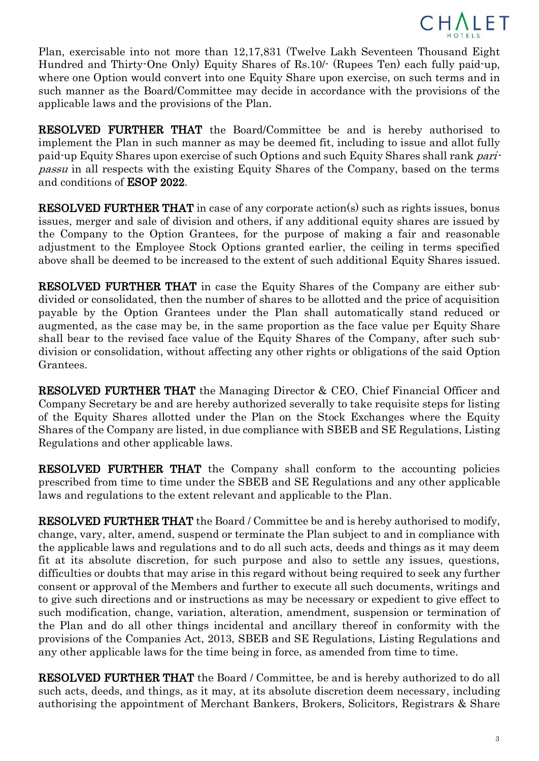

Plan, exercisable into not more than 12,17,831 (Twelve Lakh Seventeen Thousand Eight Hundred and Thirty-One Only) Equity Shares of Rs.10/- (Rupees Ten) each fully paid-up, where one Option would convert into one Equity Share upon exercise, on such terms and in such manner as the Board/Committee may decide in accordance with the provisions of the applicable laws and the provisions of the Plan.

RESOLVED FURTHER THAT the Board/Committee be and is hereby authorised to implement the Plan in such manner as may be deemed fit, including to issue and allot fully paid-up Equity Shares upon exercise of such Options and such Equity Shares shall rank paripassu in all respects with the existing Equity Shares of the Company, based on the terms and conditions of ESOP 2022.

RESOLVED FURTHER THAT in case of any corporate action(s) such as rights issues, bonus issues, merger and sale of division and others, if any additional equity shares are issued by the Company to the Option Grantees, for the purpose of making a fair and reasonable adjustment to the Employee Stock Options granted earlier, the ceiling in terms specified above shall be deemed to be increased to the extent of such additional Equity Shares issued.

RESOLVED FURTHER THAT in case the Equity Shares of the Company are either subdivided or consolidated, then the number of shares to be allotted and the price of acquisition payable by the Option Grantees under the Plan shall automatically stand reduced or augmented, as the case may be, in the same proportion as the face value per Equity Share shall bear to the revised face value of the Equity Shares of the Company, after such subdivision or consolidation, without affecting any other rights or obligations of the said Option Grantees.

RESOLVED FURTHER THAT the Managing Director & CEO, Chief Financial Officer and Company Secretary be and are hereby authorized severally to take requisite steps for listing of the Equity Shares allotted under the Plan on the Stock Exchanges where the Equity Shares of the Company are listed, in due compliance with SBEB and SE Regulations, Listing Regulations and other applicable laws.

RESOLVED FURTHER THAT the Company shall conform to the accounting policies prescribed from time to time under the SBEB and SE Regulations and any other applicable laws and regulations to the extent relevant and applicable to the Plan.

RESOLVED FURTHER THAT the Board / Committee be and is hereby authorised to modify, change, vary, alter, amend, suspend or terminate the Plan subject to and in compliance with the applicable laws and regulations and to do all such acts, deeds and things as it may deem fit at its absolute discretion, for such purpose and also to settle any issues, questions, difficulties or doubts that may arise in this regard without being required to seek any further consent or approval of the Members and further to execute all such documents, writings and to give such directions and or instructions as may be necessary or expedient to give effect to such modification, change, variation, alteration, amendment, suspension or termination of the Plan and do all other things incidental and ancillary thereof in conformity with the provisions of the Companies Act, 2013, SBEB and SE Regulations, Listing Regulations and any other applicable laws for the time being in force, as amended from time to time.

RESOLVED FURTHER THAT the Board / Committee, be and is hereby authorized to do all such acts, deeds, and things, as it may, at its absolute discretion deem necessary, including authorising the appointment of Merchant Bankers, Brokers, Solicitors, Registrars & Share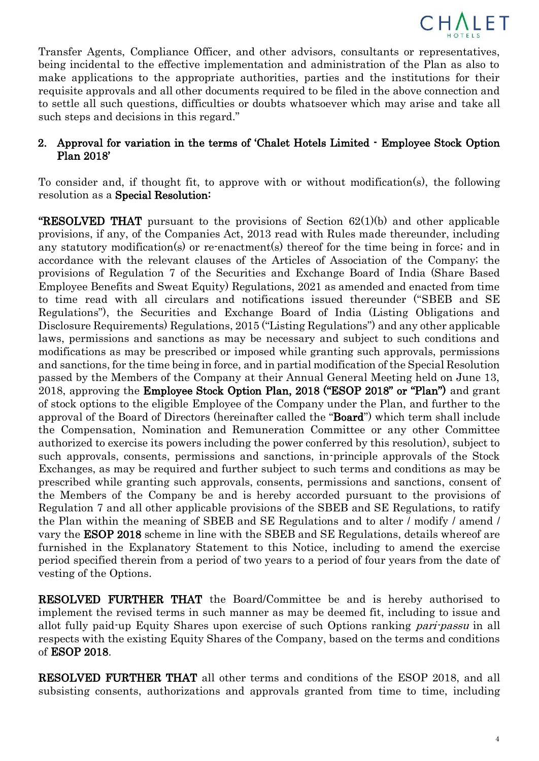

Transfer Agents, Compliance Officer, and other advisors, consultants or representatives, being incidental to the effective implementation and administration of the Plan as also to make applications to the appropriate authorities, parties and the institutions for their requisite approvals and all other documents required to be filed in the above connection and to settle all such questions, difficulties or doubts whatsoever which may arise and take all such steps and decisions in this regard."

## 2. Approval for variation in the terms of 'Chalet Hotels Limited - Employee Stock Option Plan 2018'

To consider and, if thought fit, to approve with or without modification(s), the following resolution as a Special Resolution:

**"RESOLVED THAT** pursuant to the provisions of Section  $62(1)(b)$  and other applicable provisions, if any, of the Companies Act, 2013 read with Rules made thereunder, including any statutory modification(s) or re-enactment(s) thereof for the time being in force; and in accordance with the relevant clauses of the Articles of Association of the Company; the provisions of Regulation 7 of the Securities and Exchange Board of India (Share Based Employee Benefits and Sweat Equity) Regulations, 2021 as amended and enacted from time to time read with all circulars and notifications issued thereunder ("SBEB and SE Regulations"), the Securities and Exchange Board of India (Listing Obligations and Disclosure Requirements) Regulations, 2015 ("Listing Regulations") and any other applicable laws, permissions and sanctions as may be necessary and subject to such conditions and modifications as may be prescribed or imposed while granting such approvals, permissions and sanctions, for the time being in force, and in partial modification of the Special Resolution passed by the Members of the Company at their Annual General Meeting held on June 13, 2018, approving the Employee Stock Option Plan, 2018 ("ESOP 2018" or "Plan") and grant of stock options to the eligible Employee of the Company under the Plan, and further to the approval of the Board of Directors (hereinafter called the "Board") which term shall include the Compensation, Nomination and Remuneration Committee or any other Committee authorized to exercise its powers including the power conferred by this resolution), subject to such approvals, consents, permissions and sanctions, in-principle approvals of the Stock Exchanges, as may be required and further subject to such terms and conditions as may be prescribed while granting such approvals, consents, permissions and sanctions, consent of the Members of the Company be and is hereby accorded pursuant to the provisions of Regulation 7 and all other applicable provisions of the SBEB and SE Regulations, to ratify the Plan within the meaning of SBEB and SE Regulations and to alter / modify / amend / vary the ESOP 2018 scheme in line with the SBEB and SE Regulations, details whereof are furnished in the Explanatory Statement to this Notice, including to amend the exercise period specified therein from a period of two years to a period of four years from the date of vesting of the Options.

RESOLVED FURTHER THAT the Board/Committee be and is hereby authorised to implement the revised terms in such manner as may be deemed fit, including to issue and allot fully paid-up Equity Shares upon exercise of such Options ranking *pari-passu* in all respects with the existing Equity Shares of the Company, based on the terms and conditions of ESOP 2018.

RESOLVED FURTHER THAT all other terms and conditions of the ESOP 2018, and all subsisting consents, authorizations and approvals granted from time to time, including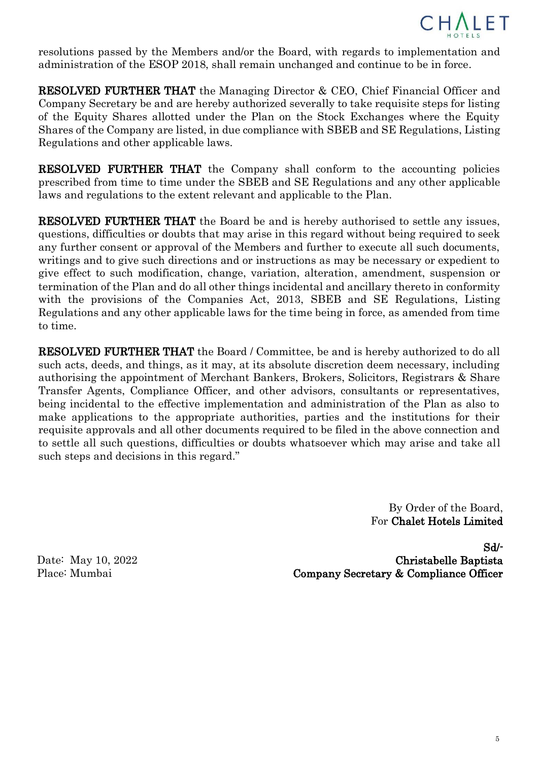

resolutions passed by the Members and/or the Board, with regards to implementation and administration of the ESOP 2018, shall remain unchanged and continue to be in force.

RESOLVED FURTHER THAT the Managing Director & CEO, Chief Financial Officer and Company Secretary be and are hereby authorized severally to take requisite steps for listing of the Equity Shares allotted under the Plan on the Stock Exchanges where the Equity Shares of the Company are listed, in due compliance with SBEB and SE Regulations, Listing Regulations and other applicable laws.

RESOLVED FURTHER THAT the Company shall conform to the accounting policies prescribed from time to time under the SBEB and SE Regulations and any other applicable laws and regulations to the extent relevant and applicable to the Plan.

RESOLVED FURTHER THAT the Board be and is hereby authorised to settle any issues, questions, difficulties or doubts that may arise in this regard without being required to seek any further consent or approval of the Members and further to execute all such documents, writings and to give such directions and or instructions as may be necessary or expedient to give effect to such modification, change, variation, alteration, amendment, suspension or termination of the Plan and do all other things incidental and ancillary thereto in conformity with the provisions of the Companies Act, 2013, SBEB and SE Regulations, Listing Regulations and any other applicable laws for the time being in force, as amended from time to time.

RESOLVED FURTHER THAT the Board / Committee, be and is hereby authorized to do all such acts, deeds, and things, as it may, at its absolute discretion deem necessary, including authorising the appointment of Merchant Bankers, Brokers, Solicitors, Registrars & Share Transfer Agents, Compliance Officer, and other advisors, consultants or representatives, being incidental to the effective implementation and administration of the Plan as also to make applications to the appropriate authorities, parties and the institutions for their requisite approvals and all other documents required to be filed in the above connection and to settle all such questions, difficulties or doubts whatsoever which may arise and take all such steps and decisions in this regard."

> By Order of the Board, For Chalet Hotels Limited

Date: May 10, 2022 Place: Mumbai

Sd/- Christabelle Baptista Company Secretary & Compliance Officer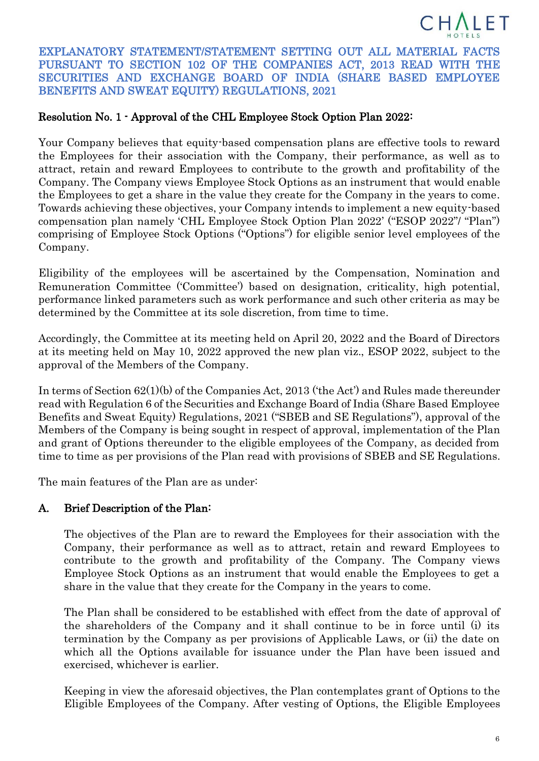

EXPLANATORY STATEMENT/STATEMENT SETTING OUT ALL MATERIAL FACTS PURSUANT TO SECTION 102 OF THE COMPANIES ACT, 2013 READ WITH THE SECURITIES AND EXCHANGE BOARD OF INDIA (SHARE BASED EMPLOYEE BENEFITS AND SWEAT EQUITY) REGULATIONS, 2021

## Resolution No. 1 - Approval of the CHL Employee Stock Option Plan 2022:

Your Company believes that equity-based compensation plans are effective tools to reward the Employees for their association with the Company, their performance, as well as to attract, retain and reward Employees to contribute to the growth and profitability of the Company. The Company views Employee Stock Options as an instrument that would enable the Employees to get a share in the value they create for the Company in the years to come. Towards achieving these objectives, your Company intends to implement a new equity-based compensation plan namely 'CHL Employee Stock Option Plan 2022' ("ESOP 2022"/ "Plan") comprising of Employee Stock Options ("Options") for eligible senior level employees of the Company.

Eligibility of the employees will be ascertained by the Compensation, Nomination and Remuneration Committee ('Committee') based on designation, criticality, high potential, performance linked parameters such as work performance and such other criteria as may be determined by the Committee at its sole discretion, from time to time.

Accordingly, the Committee at its meeting held on April 20, 2022 and the Board of Directors at its meeting held on May 10, 2022 approved the new plan viz., ESOP 2022, subject to the approval of the Members of the Company.

In terms of Section 62(1)(b) of the Companies Act, 2013 ('the Act') and Rules made thereunder read with Regulation 6 of the Securities and Exchange Board of India (Share Based Employee Benefits and Sweat Equity) Regulations, 2021 ("SBEB and SE Regulations"), approval of the Members of the Company is being sought in respect of approval, implementation of the Plan and grant of Options thereunder to the eligible employees of the Company, as decided from time to time as per provisions of the Plan read with provisions of SBEB and SE Regulations.

The main features of the Plan are as under:

## A. Brief Description of the Plan:

The objectives of the Plan are to reward the Employees for their association with the Company, their performance as well as to attract, retain and reward Employees to contribute to the growth and profitability of the Company. The Company views Employee Stock Options as an instrument that would enable the Employees to get a share in the value that they create for the Company in the years to come.

The Plan shall be considered to be established with effect from the date of approval of the shareholders of the Company and it shall continue to be in force until (i) its termination by the Company as per provisions of Applicable Laws, or (ii) the date on which all the Options available for issuance under the Plan have been issued and exercised, whichever is earlier.

Keeping in view the aforesaid objectives, the Plan contemplates grant of Options to the Eligible Employees of the Company. After vesting of Options, the Eligible Employees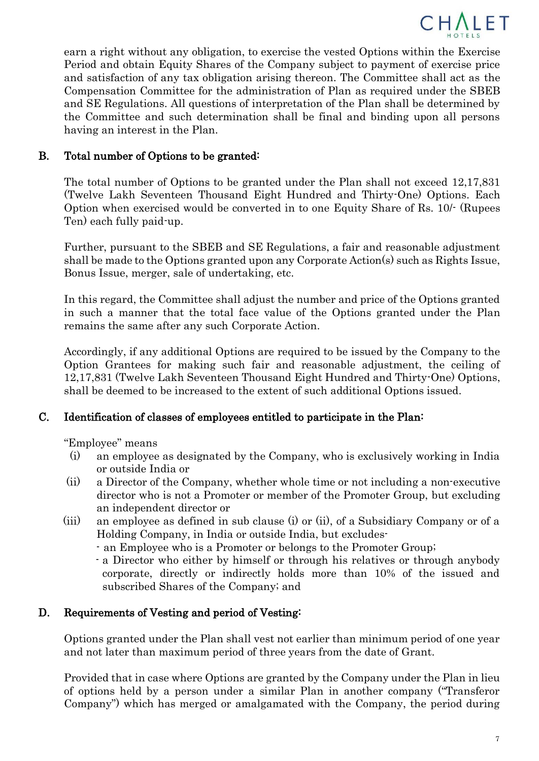

earn a right without any obligation, to exercise the vested Options within the Exercise Period and obtain Equity Shares of the Company subject to payment of exercise price and satisfaction of any tax obligation arising thereon. The Committee shall act as the Compensation Committee for the administration of Plan as required under the SBEB and SE Regulations. All questions of interpretation of the Plan shall be determined by the Committee and such determination shall be final and binding upon all persons having an interest in the Plan.

## B. Total number of Options to be granted:

The total number of Options to be granted under the Plan shall not exceed 12,17,831 (Twelve Lakh Seventeen Thousand Eight Hundred and Thirty-One) Options. Each Option when exercised would be converted in to one Equity Share of Rs. 10/- (Rupees Ten) each fully paid-up.

Further, pursuant to the SBEB and SE Regulations, a fair and reasonable adjustment shall be made to the Options granted upon any Corporate Action(s) such as Rights Issue, Bonus Issue, merger, sale of undertaking, etc.

In this regard, the Committee shall adjust the number and price of the Options granted in such a manner that the total face value of the Options granted under the Plan remains the same after any such Corporate Action.

Accordingly, if any additional Options are required to be issued by the Company to the Option Grantees for making such fair and reasonable adjustment, the ceiling of 12,17,831 (Twelve Lakh Seventeen Thousand Eight Hundred and Thirty-One) Options, shall be deemed to be increased to the extent of such additional Options issued.

#### C. Identification of classes of employees entitled to participate in the Plan:

"Employee" means

- (i) an employee as designated by the Company, who is exclusively working in India or outside India or
- (ii) a Director of the Company, whether whole time or not including a non-executive director who is not a Promoter or member of the Promoter Group, but excluding an independent director or
- (iii) an employee as defined in sub clause (i) or (ii), of a Subsidiary Company or of a Holding Company, in India or outside India, but excludes-
	- an Employee who is a Promoter or belongs to the Promoter Group;
	- a Director who either by himself or through his relatives or through anybody corporate, directly or indirectly holds more than 10% of the issued and subscribed Shares of the Company; and

#### D. Requirements of Vesting and period of Vesting:

Options granted under the Plan shall vest not earlier than minimum period of one year and not later than maximum period of three years from the date of Grant.

Provided that in case where Options are granted by the Company under the Plan in lieu of options held by a person under a similar Plan in another company ("Transferor Company") which has merged or amalgamated with the Company, the period during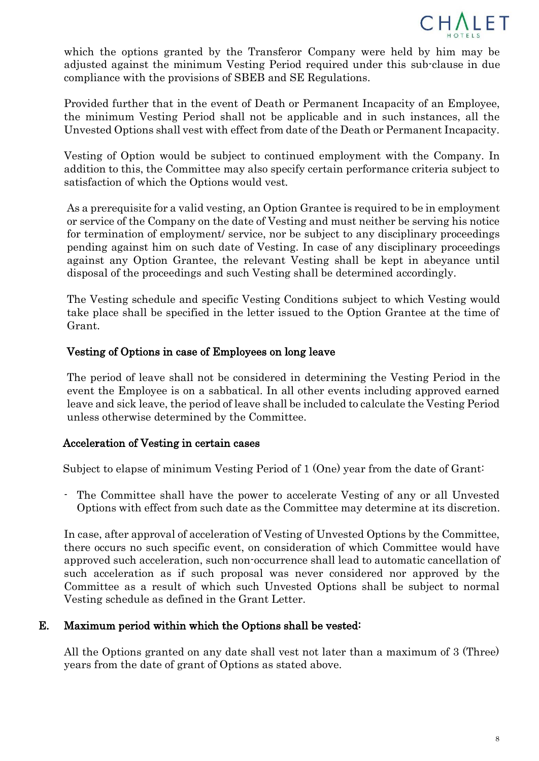

which the options granted by the Transferor Company were held by him may be adjusted against the minimum Vesting Period required under this sub-clause in due compliance with the provisions of SBEB and SE Regulations.

Provided further that in the event of Death or Permanent Incapacity of an Employee, the minimum Vesting Period shall not be applicable and in such instances, all the Unvested Options shall vest with effect from date of the Death or Permanent Incapacity.

Vesting of Option would be subject to continued employment with the Company. In addition to this, the Committee may also specify certain performance criteria subject to satisfaction of which the Options would vest.

As a prerequisite for a valid vesting, an Option Grantee is required to be in employment or service of the Company on the date of Vesting and must neither be serving his notice for termination of employment/ service, nor be subject to any disciplinary proceedings pending against him on such date of Vesting. In case of any disciplinary proceedings against any Option Grantee, the relevant Vesting shall be kept in abeyance until disposal of the proceedings and such Vesting shall be determined accordingly.

The Vesting schedule and specific Vesting Conditions subject to which Vesting would take place shall be specified in the letter issued to the Option Grantee at the time of Grant.

## Vesting of Options in case of Employees on long leave

The period of leave shall not be considered in determining the Vesting Period in the event the Employee is on a sabbatical. In all other events including approved earned leave and sick leave, the period of leave shall be included to calculate the Vesting Period unless otherwise determined by the Committee.

#### Acceleration of Vesting in certain cases

Subject to elapse of minimum Vesting Period of 1 (One) year from the date of Grant:

The Committee shall have the power to accelerate Vesting of any or all Unvested Options with effect from such date as the Committee may determine at its discretion.

In case, after approval of acceleration of Vesting of Unvested Options by the Committee, there occurs no such specific event, on consideration of which Committee would have approved such acceleration, such non-occurrence shall lead to automatic cancellation of such acceleration as if such proposal was never considered nor approved by the Committee as a result of which such Unvested Options shall be subject to normal Vesting schedule as defined in the Grant Letter.

## E. Maximum period within which the Options shall be vested:

All the Options granted on any date shall vest not later than a maximum of 3 (Three) years from the date of grant of Options as stated above.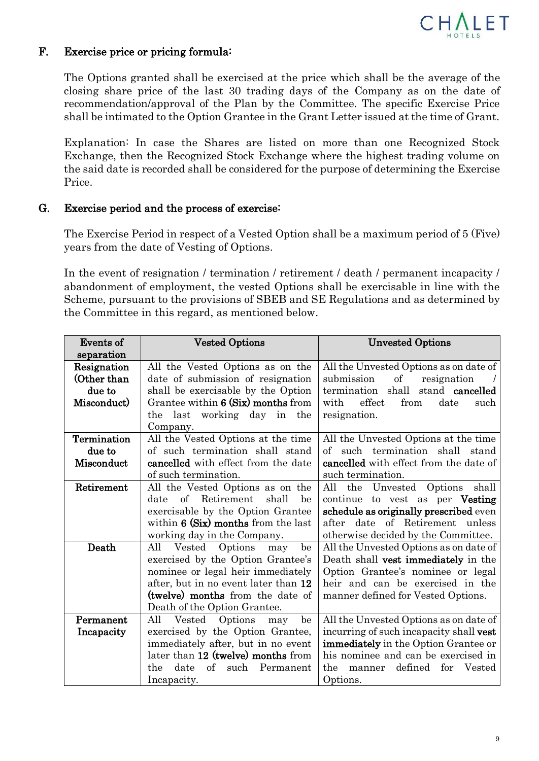

### F. Exercise price or pricing formula:

The Options granted shall be exercised at the price which shall be the average of the closing share price of the last 30 trading days of the Company as on the date of recommendation/approval of the Plan by the Committee. The specific Exercise Price shall be intimated to the Option Grantee in the Grant Letter issued at the time of Grant.

Explanation: In case the Shares are listed on more than one Recognized Stock Exchange, then the Recognized Stock Exchange where the highest trading volume on the said date is recorded shall be considered for the purpose of determining the Exercise Price.

## G. Exercise period and the process of exercise:

The Exercise Period in respect of a Vested Option shall be a maximum period of 5 (Five) years from the date of Vesting of Options.

In the event of resignation / termination / retirement / death / permanent incapacity / abandonment of employment, the vested Options shall be exercisable in line with the Scheme, pursuant to the provisions of SBEB and SE Regulations and as determined by the Committee in this regard, as mentioned below.

| Events of   | <b>Vested Options</b>                                  | <b>Unvested Options</b>                     |
|-------------|--------------------------------------------------------|---------------------------------------------|
| separation  |                                                        |                                             |
| Resignation | All the Vested Options as on the                       | All the Unvested Options as on date of      |
| (Other than | date of submission of resignation                      | submission<br>$\sigma f$<br>resignation     |
| due to      | shall be exercisable by the Option                     | termination shall<br>stand cancelled        |
| Misconduct) | Grantee within 6 (Six) months from                     | effect<br>with<br>from<br>date<br>such      |
|             | the last working day in<br>the                         | resignation.                                |
|             | Company.                                               |                                             |
| Termination | All the Vested Options at the time                     | All the Unvested Options at the time        |
| due to      | of such termination shall stand                        | of such termination shall stand             |
| Misconduct  | cancelled with effect from the date                    | cancelled with effect from the date of      |
|             | of such termination.                                   | such termination.                           |
| Retirement  | All the Vested Options as on the                       | the Unvested Options shall<br>All           |
|             | Retirement<br>$\alpha$ f<br>shall<br>date<br>be        | continue to vest as per Vesting             |
|             | exercisable by the Option Grantee                      | schedule as originally prescribed even      |
|             | within $6$ (Six) months from the last                  | date of Retirement unless<br>after          |
|             | working day in the Company.                            | otherwise decided by the Committee.         |
| Death       | Vested<br>Options<br>be<br>All<br>may                  | All the Unvested Options as on date of      |
|             | exercised by the Option Grantee's                      | Death shall vest immediately in the         |
|             | nominee or legal heir immediately                      | Option Grantee's nominee or legal           |
|             | after, but in no event later than 12                   | heir and can be exercised in the            |
|             | (twelve) months from the date of                       | manner defined for Vested Options.          |
|             | Death of the Option Grantee.                           |                                             |
| Permanent   | All<br>$\operatorname{Vested}$<br>Options<br>be<br>may | All the Unvested Options as on date of      |
| Incapacity  | exercised by the Option Grantee,                       | incurring of such incapacity shall vest     |
|             | immediately after, but in no event                     | <b>immediately</b> in the Option Grantee or |
|             | later than 12 (twelve) months from                     | his nominee and can be exercised in         |
|             | of such<br>Permanent<br>the<br>date                    | defined<br>for<br>Vested<br>the<br>manner   |
|             | Incapacity.                                            | Options.                                    |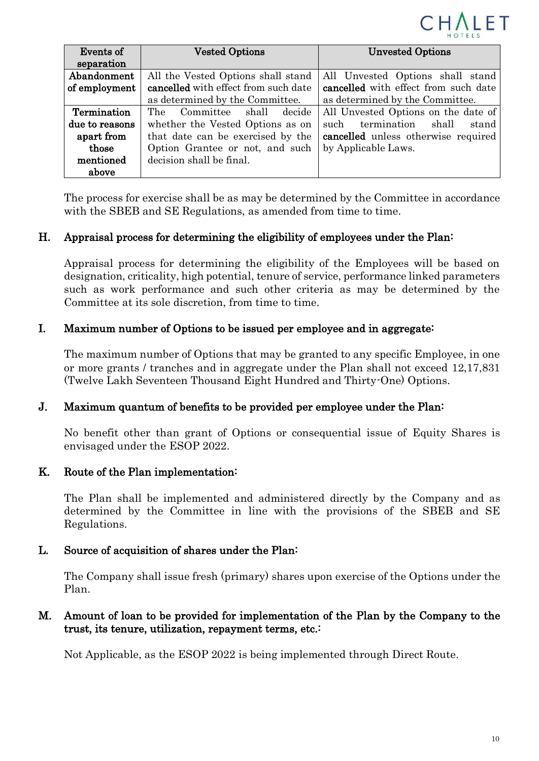

| Events of      | <b>Vested Options</b>                | <b>Unvested Options</b>               |
|----------------|--------------------------------------|---------------------------------------|
| separation     |                                      |                                       |
| Abandonment    | All the Vested Options shall stand   | All Unvested Options shall stand      |
| of employment  | cancelled with effect from such date | cancelled with effect from such date  |
|                | as determined by the Committee.      | as determined by the Committee.       |
| Termination    | Committee shall decide<br>The        | All Unvested Options on the date of   |
| due to reasons | whether the Vested Options as on     | termination<br>shall<br>such<br>stand |
| apart from     | that date can be exercised by the    | cancelled unless otherwise required   |
| those          | Option Grantee or not, and such      | by Applicable Laws.                   |
| mentioned      | decision shall be final.             |                                       |
| above          |                                      |                                       |

The process for exercise shall be as may be determined by the Committee in accordance with the SBEB and SE Regulations, as amended from time to time.

## H. Appraisal process for determining the eligibility of employees under the Plan:

Appraisal process for determining the eligibility of the Employees will be based on designation, criticality, high potential, tenure of service, performance linked parameters such as work performance and such other criteria as may be determined by the Committee at its sole discretion, from time to time.

## I. Maximum number of Options to be issued per employee and in aggregate:

The maximum number of Options that may be granted to any specific Employee, in one or more grants / tranches and in aggregate under the Plan shall not exceed 12,17,831 (Twelve Lakh Seventeen Thousand Eight Hundred and Thirty-One) Options.

#### J. Maximum quantum of benefits to be provided per employee under the Plan:

No benefit other than grant of Options or consequential issue of Equity Shares is envisaged under the ESOP 2022.

#### K. Route of the Plan implementation:

The Plan shall be implemented and administered directly by the Company and as determined by the Committee in line with the provisions of the SBEB and SE Regulations.

#### L. Source of acquisition of shares under the Plan:

The Company shall issue fresh (primary) shares upon exercise of the Options under the Plan.

## M. Amount of loan to be provided for implementation of the Plan by the Company to the trust, its tenure, utilization, repayment terms, etc.:

Not Applicable, as the ESOP 2022 is being implemented through Direct Route.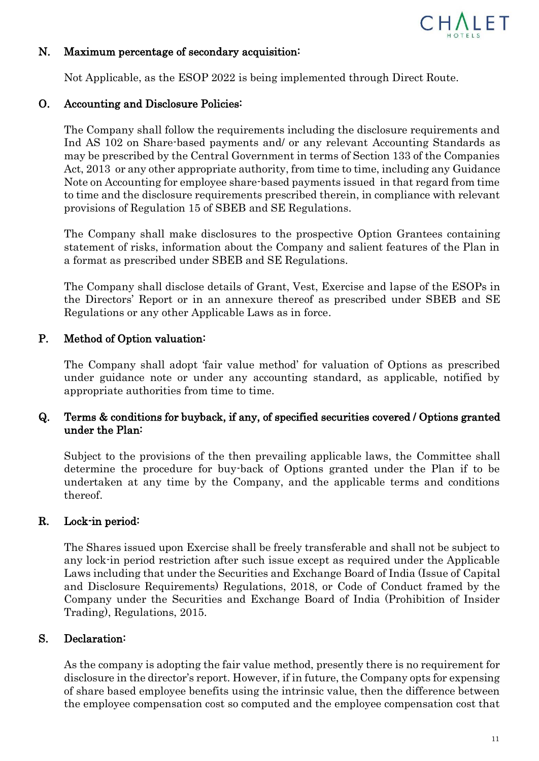

#### N. Maximum percentage of secondary acquisition:

Not Applicable, as the ESOP 2022 is being implemented through Direct Route.

#### O. Accounting and Disclosure Policies:

The Company shall follow the requirements including the disclosure requirements and Ind AS 102 on Share-based payments and/ or any relevant Accounting Standards as may be prescribed by the Central Government in terms of Section 133 of the Companies Act, 2013 or any other appropriate authority, from time to time, including any Guidance Note on Accounting for employee share-based payments issued in that regard from time to time and the disclosure requirements prescribed therein, in compliance with relevant provisions of Regulation 15 of SBEB and SE Regulations.

The Company shall make disclosures to the prospective Option Grantees containing statement of risks, information about the Company and salient features of the Plan in a format as prescribed under SBEB and SE Regulations.

The Company shall disclose details of Grant, Vest, Exercise and lapse of the ESOPs in the Directors' Report or in an annexure thereof as prescribed under SBEB and SE Regulations or any other Applicable Laws as in force.

## P. Method of Option valuation:

The Company shall adopt 'fair value method' for valuation of Options as prescribed under guidance note or under any accounting standard, as applicable, notified by appropriate authorities from time to time.

## Q. Terms & conditions for buyback, if any, of specified securities covered / Options granted under the Plan:

Subject to the provisions of the then prevailing applicable laws, the Committee shall determine the procedure for buy-back of Options granted under the Plan if to be undertaken at any time by the Company, and the applicable terms and conditions thereof.

#### R. Lock-in period:

The Shares issued upon Exercise shall be freely transferable and shall not be subject to any lock-in period restriction after such issue except as required under the Applicable Laws including that under the Securities and Exchange Board of India (Issue of Capital and Disclosure Requirements) Regulations, 2018, or Code of Conduct framed by the Company under the Securities and Exchange Board of India (Prohibition of Insider Trading), Regulations, 2015.

#### S. Declaration:

As the company is adopting the fair value method, presently there is no requirement for disclosure in the director's report. However, if in future, the Company opts for expensing of share based employee benefits using the intrinsic value, then the difference between the employee compensation cost so computed and the employee compensation cost that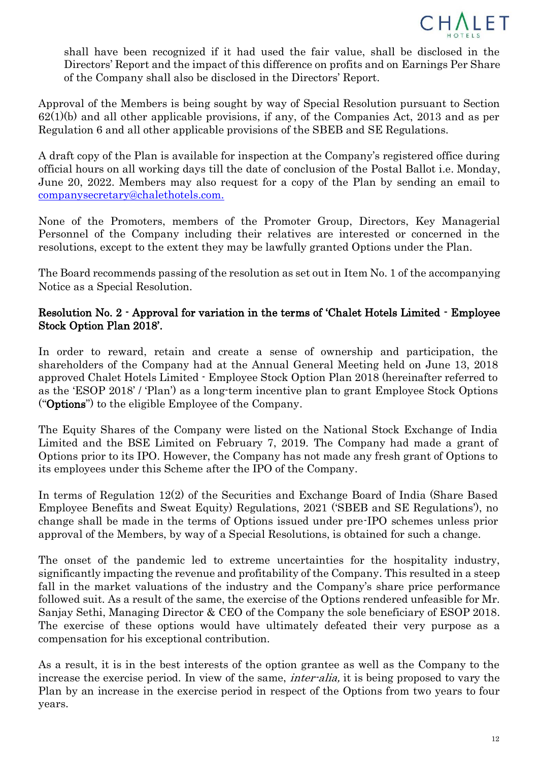

shall have been recognized if it had used the fair value, shall be disclosed in the Directors' Report and the impact of this difference on profits and on Earnings Per Share of the Company shall also be disclosed in the Directors' Report.

Approval of the Members is being sought by way of Special Resolution pursuant to Section  $62(1)(b)$  and all other applicable provisions, if any, of the Companies Act, 2013 and as per Regulation 6 and all other applicable provisions of the SBEB and SE Regulations.

A draft copy of the Plan is available for inspection at the Company's registered office during official hours on all working days till the date of conclusion of the Postal Ballot i.e. Monday, June 20, 2022. Members may also request for a copy of the Plan by sending an email to companysecretar[y@chalethotels.com.](mailto:@chalethotels.com)

None of the Promoters, members of the Promoter Group, Directors, Key Managerial Personnel of the Company including their relatives are interested or concerned in the resolutions, except to the extent they may be lawfully granted Options under the Plan.

The Board recommends passing of the resolution as set out in Item No. 1 of the accompanying Notice as a Special Resolution.

## Resolution No. 2 - Approval for variation in the terms of 'Chalet Hotels Limited - Employee Stock Option Plan 2018'.

In order to reward, retain and create a sense of ownership and participation, the shareholders of the Company had at the Annual General Meeting held on June 13, 2018 approved Chalet Hotels Limited - Employee Stock Option Plan 2018 (hereinafter referred to as the 'ESOP 2018' / 'Plan') as a long-term incentive plan to grant Employee Stock Options ("Options") to the eligible Employee of the Company.

The Equity Shares of the Company were listed on the National Stock Exchange of India Limited and the BSE Limited on February 7, 2019. The Company had made a grant of Options prior to its IPO. However, the Company has not made any fresh grant of Options to its employees under this Scheme after the IPO of the Company.

In terms of Regulation 12(2) of the Securities and Exchange Board of India (Share Based Employee Benefits and Sweat Equity) Regulations, 2021 ('SBEB and SE Regulations'), no change shall be made in the terms of Options issued under pre-IPO schemes unless prior approval of the Members, by way of a Special Resolutions, is obtained for such a change.

The onset of the pandemic led to extreme uncertainties for the hospitality industry, significantly impacting the revenue and profitability of the Company. This resulted in a steep fall in the market valuations of the industry and the Company's share price performance followed suit. As a result of the same, the exercise of the Options rendered unfeasible for Mr. Sanjay Sethi, Managing Director & CEO of the Company the sole beneficiary of ESOP 2018. The exercise of these options would have ultimately defeated their very purpose as a compensation for his exceptional contribution.

As a result, it is in the best interests of the option grantee as well as the Company to the increase the exercise period. In view of the same, inter-alia, it is being proposed to vary the Plan by an increase in the exercise period in respect of the Options from two years to four years.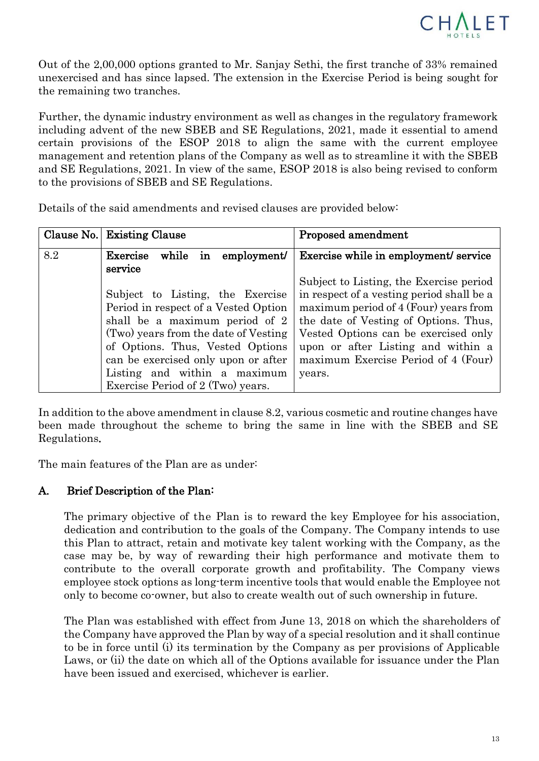

Out of the 2,00,000 options granted to Mr. Sanjay Sethi, the first tranche of 33% remained unexercised and has since lapsed. The extension in the Exercise Period is being sought for the remaining two tranches.

Further, the dynamic industry environment as well as changes in the regulatory framework including advent of the new SBEB and SE Regulations, 2021, made it essential to amend certain provisions of the ESOP 2018 to align the same with the current employee management and retention plans of the Company as well as to streamline it with the SBEB and SE Regulations, 2021. In view of the same, ESOP 2018 is also being revised to conform to the provisions of SBEB and SE Regulations.

Details of the said amendments and revised clauses are provided below:

|     | Clause No. Existing Clause           | Proposed amendment                        |
|-----|--------------------------------------|-------------------------------------------|
| 8.2 | Exercise<br>employment/<br>while in  | Exercise while in employment/ service     |
|     | service                              |                                           |
|     |                                      | Subject to Listing, the Exercise period   |
|     | Subject to Listing, the Exercise     | in respect of a vesting period shall be a |
|     | Period in respect of a Vested Option | maximum period of 4 (Four) years from     |
|     | shall be a maximum period of 2       | the date of Vesting of Options. Thus,     |
|     | (Two) years from the date of Vesting | Vested Options can be exercised only      |
|     | of Options. Thus, Vested Options     | upon or after Listing and within a        |
|     | can be exercised only upon or after  | maximum Exercise Period of 4 (Four)       |
|     | Listing and within a maximum         | years.                                    |
|     | Exercise Period of 2 (Two) years.    |                                           |

In addition to the above amendment in clause 8.2, various cosmetic and routine changes have been made throughout the scheme to bring the same in line with the SBEB and SE Regulations.

The main features of the Plan are as under:

## A. Brief Description of the Plan:

The primary objective of the Plan is to reward the key Employee for his association, dedication and contribution to the goals of the Company. The Company intends to use this Plan to attract, retain and motivate key talent working with the Company, as the case may be, by way of rewarding their high performance and motivate them to contribute to the overall corporate growth and profitability. The Company views employee stock options as long-term incentive tools that would enable the Employee not only to become co-owner, but also to create wealth out of such ownership in future.

The Plan was established with effect from June 13, 2018 on which the shareholders of the Company have approved the Plan by way of a special resolution and it shall continue to be in force until (i) its termination by the Company as per provisions of Applicable Laws, or (ii) the date on which all of the Options available for issuance under the Plan have been issued and exercised, whichever is earlier.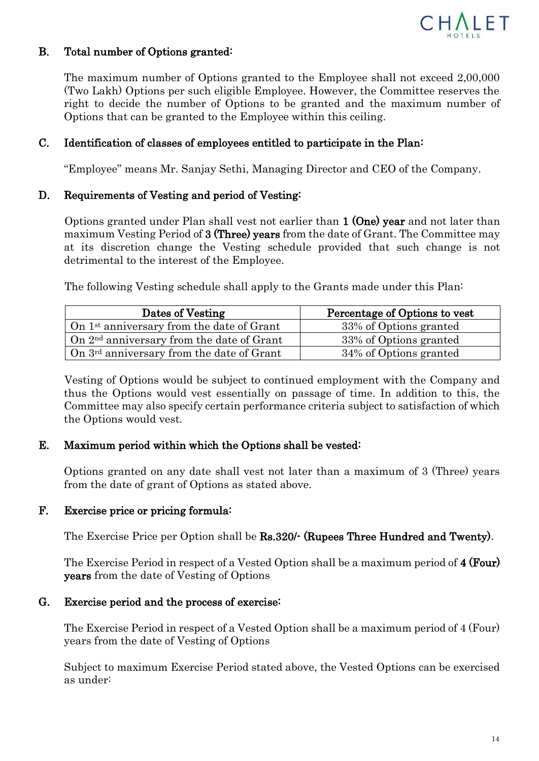

## B. Total number of Options granted:

The maximum number of Options granted to the Employee shall not exceed 2,00,000 (Two Lakh) Options per such eligible Employee. However, the Committee reserves the right to decide the number of Options to be granted and the maximum number of Options that can be granted to the Employee within this ceiling.

## C. Identification of classes of employees entitled to participate in the Plan:

"Employee" means Mr. Sanjay Sethi, Managing Director and CEO of the Company.

## D. Requirements of Vesting and period of Vesting:

Options granted under Plan shall vest not earlier than 1 (One) year and not later than maximum Vesting Period of 3 (Three) years from the date of Grant. The Committee may at its discretion change the Vesting schedule provided that such change is not detrimental to the interest of the Employee.

The following Vesting schedule shall apply to the Grants made under this Plan:

| Dates of Vesting                                      | Percentage of Options to vest |
|-------------------------------------------------------|-------------------------------|
| On $1st$ anniversary from the date of Grant           | 33% of Options granted        |
| $\int$ On $2^{nd}$ anniversary from the date of Grant | 33% of Options granted        |
| On $3rd$ anniversary from the date of Grant           | 34% of Options granted        |

Vesting of Options would be subject to continued employment with the Company and thus the Options would vest essentially on passage of time. In addition to this, the Committee may also specify certain performance criteria subject to satisfaction of which the Options would vest.

## E. Maximum period within which the Options shall be vested:

Options granted on any date shall vest not later than a maximum of 3 (Three) years from the date of grant of Options as stated above.

#### F. Exercise price or pricing formula:

The Exercise Price per Option shall be **Rs.320/-** (Rupees Three Hundred and Twenty).

The Exercise Period in respect of a Vested Option shall be a maximum period of 4 (Four) years from the date of Vesting of Options

#### G. Exercise period and the process of exercise:

The Exercise Period in respect of a Vested Option shall be a maximum period of 4 (Four) years from the date of Vesting of Options

Subject to maximum Exercise Period stated above, the Vested Options can be exercised as under: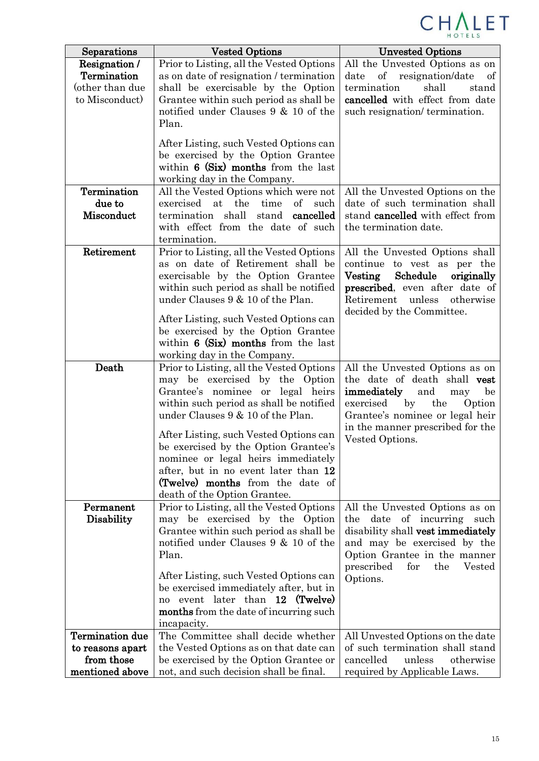

| Separations            | <b>Vested Options</b>                                                        | <b>Unvested Options</b>                                               |
|------------------------|------------------------------------------------------------------------------|-----------------------------------------------------------------------|
| Resignation /          | Prior to Listing, all the Vested Options                                     | All the Unvested Options as on                                        |
| Termination            | as on date of resignation / termination                                      | of<br>date<br>resignation/date<br>of                                  |
| (other than due        | shall be exercisable by the Option                                           | termination<br>shall<br>stand                                         |
| to Misconduct)         | Grantee within such period as shall be                                       | cancelled with effect from date                                       |
|                        | notified under Clauses 9 & 10 of the                                         | such resignation/termination.                                         |
|                        | Plan.                                                                        |                                                                       |
|                        | After Listing, such Vested Options can                                       |                                                                       |
|                        | be exercised by the Option Grantee                                           |                                                                       |
|                        | within $6$ (Six) months from the last                                        |                                                                       |
|                        | working day in the Company.                                                  |                                                                       |
| Termination            | All the Vested Options which were not                                        | All the Unvested Options on the                                       |
| due to                 | the<br>exercised at<br>time<br>of<br>such                                    | date of such termination shall                                        |
| Misconduct             | termination shall<br>stand<br>cancelled                                      | stand cancelled with effect from                                      |
|                        | with effect from the date of such                                            | the termination date.                                                 |
|                        | termination.                                                                 |                                                                       |
| Retirement             | Prior to Listing, all the Vested Options                                     | All the Unvested Options shall                                        |
|                        | as on date of Retirement shall be                                            | continue to vest as per the                                           |
|                        | exercisable by the Option Grantee                                            | $\rm Vesting$<br>Schedule<br>originally                               |
|                        | within such period as shall be notified<br>under Clauses 9 & 10 of the Plan. | <b>prescribed</b> , even after date of<br>Retirement unless otherwise |
|                        |                                                                              | decided by the Committee.                                             |
|                        | After Listing, such Vested Options can                                       |                                                                       |
|                        | be exercised by the Option Grantee                                           |                                                                       |
|                        | within $6$ (Six) months from the last                                        |                                                                       |
|                        | working day in the Company.                                                  |                                                                       |
| Death                  | Prior to Listing, all the Vested Options                                     | All the Unvested Options as on                                        |
|                        | may be exercised by the Option                                               | the date of death shall vest                                          |
|                        | Grantee's nominee or legal heirs<br>within such period as shall be notified  | immediately<br>and<br>be<br>may<br>the<br>exercised by                |
|                        | under Clauses 9 & 10 of the Plan.                                            | Option<br>Grantee's nominee or legal heir                             |
|                        |                                                                              | in the manner prescribed for the                                      |
|                        | After Listing, such Vested Options can                                       | Vested Options.                                                       |
|                        | be exercised by the Option Grantee's                                         |                                                                       |
|                        | nominee or legal heirs immediately                                           |                                                                       |
|                        | after, but in no event later than 12                                         |                                                                       |
|                        | (Twelve) months from the date of<br>death of the Option Grantee.             |                                                                       |
| Permanent              | Prior to Listing, all the Vested Options                                     | All the Unvested Options as on                                        |
| <b>Disability</b>      | may be exercised by the Option                                               | date of incurring<br>the<br>such                                      |
|                        | Grantee within such period as shall be                                       | disability shall vest immediately                                     |
|                        | notified under Clauses 9 & 10 of the                                         | and may be exercised by the                                           |
|                        | Plan.                                                                        | Option Grantee in the manner                                          |
|                        |                                                                              | prescribed<br>for<br>the<br>Vested                                    |
|                        | After Listing, such Vested Options can                                       | Options.                                                              |
|                        | be exercised immediately after, but in<br>event later than 12 (Twelve)       |                                                                       |
|                        | no<br>months from the date of incurring such                                 |                                                                       |
|                        | incapacity.                                                                  |                                                                       |
| <b>Termination</b> due | The Committee shall decide whether                                           | All Unvested Options on the date                                      |
| to reasons apart       | the Vested Options as on that date can                                       | of such termination shall stand                                       |
| from those             | be exercised by the Option Grantee or                                        | cancelled<br>unless<br>otherwise                                      |
| mentioned above        | not, and such decision shall be final.                                       | required by Applicable Laws.                                          |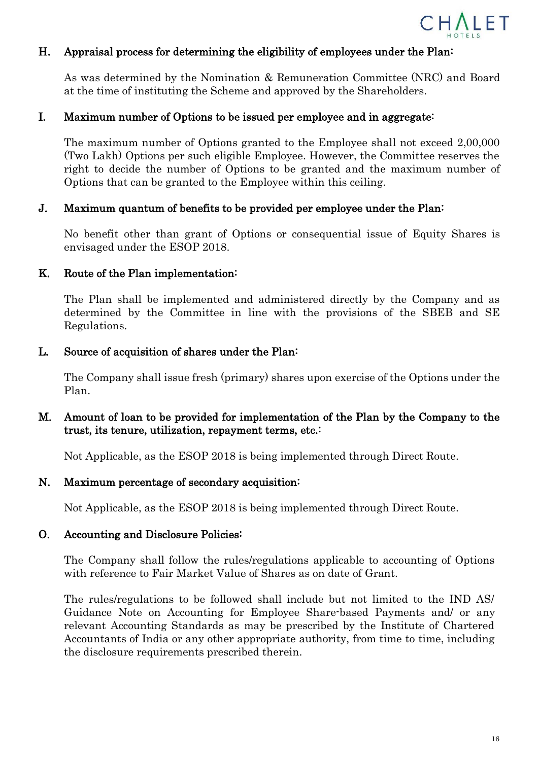

#### H. Appraisal process for determining the eligibility of employees under the Plan:

As was determined by the Nomination & Remuneration Committee (NRC) and Board at the time of instituting the Scheme and approved by the Shareholders.

#### I. Maximum number of Options to be issued per employee and in aggregate:

The maximum number of Options granted to the Employee shall not exceed 2,00,000 (Two Lakh) Options per such eligible Employee. However, the Committee reserves the right to decide the number of Options to be granted and the maximum number of Options that can be granted to the Employee within this ceiling.

#### J. Maximum quantum of benefits to be provided per employee under the Plan:

No benefit other than grant of Options or consequential issue of Equity Shares is envisaged under the ESOP 2018.

#### K. Route of the Plan implementation:

The Plan shall be implemented and administered directly by the Company and as determined by the Committee in line with the provisions of the SBEB and SE Regulations.

#### L. Source of acquisition of shares under the Plan:

The Company shall issue fresh (primary) shares upon exercise of the Options under the Plan.

## M. Amount of loan to be provided for implementation of the Plan by the Company to the trust, its tenure, utilization, repayment terms, etc.:

Not Applicable, as the ESOP 2018 is being implemented through Direct Route.

#### N. Maximum percentage of secondary acquisition:

Not Applicable, as the ESOP 2018 is being implemented through Direct Route.

#### O. Accounting and Disclosure Policies:

The Company shall follow the rules/regulations applicable to accounting of Options with reference to Fair Market Value of Shares as on date of Grant.

The rules/regulations to be followed shall include but not limited to the IND AS/ Guidance Note on Accounting for Employee Share-based Payments and/ or any relevant Accounting Standards as may be prescribed by the Institute of Chartered Accountants of India or any other appropriate authority, from time to time, including the disclosure requirements prescribed therein.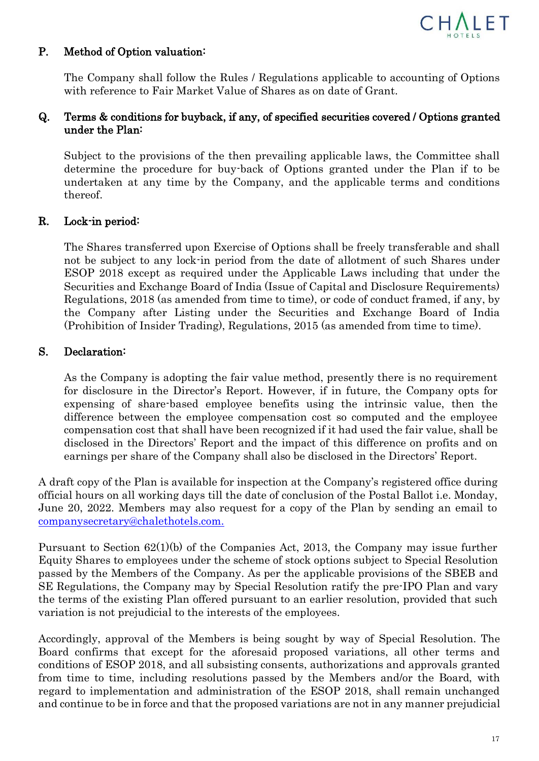

## P. Method of Option valuation:

The Company shall follow the Rules / Regulations applicable to accounting of Options with reference to Fair Market Value of Shares as on date of Grant.

## Q. Terms & conditions for buyback, if any, of specified securities covered / Options granted under the Plan:

Subject to the provisions of the then prevailing applicable laws, the Committee shall determine the procedure for buy-back of Options granted under the Plan if to be undertaken at any time by the Company, and the applicable terms and conditions thereof.

## R. Lock-in period:

The Shares transferred upon Exercise of Options shall be freely transferable and shall not be subject to any lock-in period from the date of allotment of such Shares under ESOP 2018 except as required under the Applicable Laws including that under the Securities and Exchange Board of India (Issue of Capital and Disclosure Requirements) Regulations, 2018 (as amended from time to time), or code of conduct framed, if any, by the Company after Listing under the Securities and Exchange Board of India (Prohibition of Insider Trading), Regulations, 2015 (as amended from time to time).

## S. Declaration:

As the Company is adopting the fair value method, presently there is no requirement for disclosure in the Director's Report. However, if in future, the Company opts for expensing of share-based employee benefits using the intrinsic value, then the difference between the employee compensation cost so computed and the employee compensation cost that shall have been recognized if it had used the fair value, shall be disclosed in the Directors' Report and the impact of this difference on profits and on earnings per share of the Company shall also be disclosed in the Directors' Report.

A draft copy of the Plan is available for inspection at the Company's registered office during official hours on all working days till the date of conclusion of the Postal Ballot i.e. Monday, June 20, 2022. Members may also request for a copy of the Plan by sending an email to companysecretar[y@chalethotels.com.](mailto:@chalethotels.com)

Pursuant to Section 62(1)(b) of the Companies Act, 2013, the Company may issue further Equity Shares to employees under the scheme of stock options subject to Special Resolution passed by the Members of the Company. As per the applicable provisions of the SBEB and SE Regulations, the Company may by Special Resolution ratify the pre-IPO Plan and vary the terms of the existing Plan offered pursuant to an earlier resolution, provided that such variation is not prejudicial to the interests of the employees.

Accordingly, approval of the Members is being sought by way of Special Resolution. The Board confirms that except for the aforesaid proposed variations, all other terms and conditions of ESOP 2018, and all subsisting consents, authorizations and approvals granted from time to time, including resolutions passed by the Members and/or the Board, with regard to implementation and administration of the ESOP 2018, shall remain unchanged and continue to be in force and that the proposed variations are not in any manner prejudicial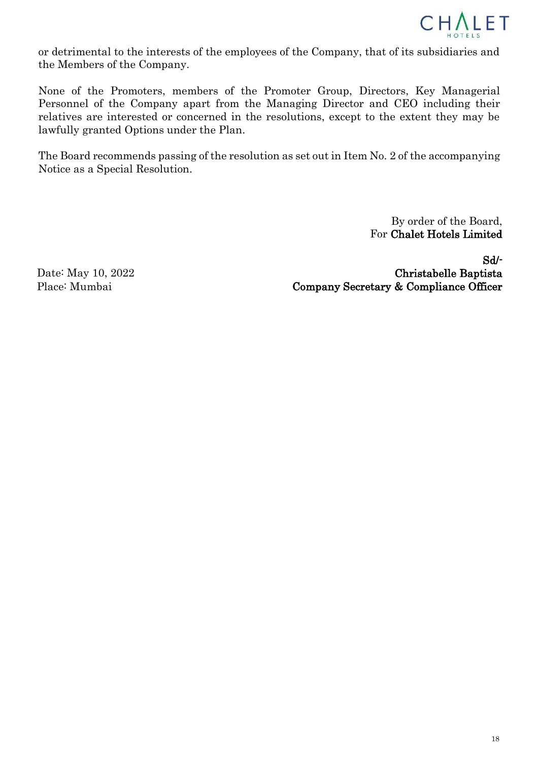

or detrimental to the interests of the employees of the Company, that of its subsidiaries and the Members of the Company.

None of the Promoters, members of the Promoter Group, Directors, Key Managerial Personnel of the Company apart from the Managing Director and CEO including their relatives are interested or concerned in the resolutions, except to the extent they may be lawfully granted Options under the Plan.

The Board recommends passing of the resolution as set out in Item No. 2 of the accompanying Notice as a Special Resolution.

> By order of the Board, For Chalet Hotels Limited

Date: May 10, 2022 Place: Mumbai

Sd/- Christabelle Baptista Company Secretary & Compliance Officer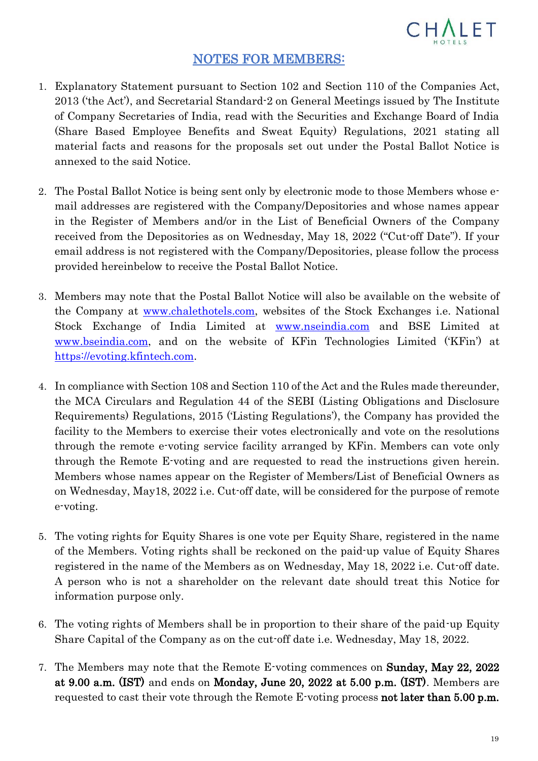

## NOTES FOR MEMBERS:

- 1. Explanatory Statement pursuant to Section 102 and Section 110 of the Companies Act, 2013 ('the Act'), and Secretarial Standard-2 on General Meetings issued by The Institute of Company Secretaries of India, read with the Securities and Exchange Board of India (Share Based Employee Benefits and Sweat Equity) Regulations, 2021 stating all material facts and reasons for the proposals set out under the Postal Ballot Notice is annexed to the said Notice.
- 2. The Postal Ballot Notice is being sent only by electronic mode to those Members whose email addresses are registered with the Company/Depositories and whose names appear in the Register of Members and/or in the List of Beneficial Owners of the Company received from the Depositories as on Wednesday, May 18, 2022 ("Cut-off Date"). If your email address is not registered with the Company/Depositories, please follow the process provided hereinbelow to receive the Postal Ballot Notice.
- 3. Members may note that the Postal Ballot Notice will also be available on the website of the Company at [www.chalethotels.com,](https://www.chalethotels.com/) websites of the Stock Exchanges i.e. National Stock Exchange of India Limited at [www.nseindia.com](http://www.nseindia.com/) and BSE Limited at [www.bseindia.com,](http://www.bseindia.com/) and on the website of KFin Technologies Limited ('KFin') at https://evoting.kfintech.com.
- 4. In compliance with Section 108 and Section 110 of the Act and the Rules made thereunder, the MCA Circulars and Regulation 44 of the SEBI (Listing Obligations and Disclosure Requirements) Regulations, 2015 ('Listing Regulations'), the Company has provided the facility to the Members to exercise their votes electronically and vote on the resolutions through the remote e-voting service facility arranged by KFin. Members can vote only through the Remote E-voting and are requested to read the instructions given herein. Members whose names appear on the Register of Members/List of Beneficial Owners as on Wednesday, May18, 2022 i.e. Cut-off date, will be considered for the purpose of remote e-voting.
- 5. The voting rights for Equity Shares is one vote per Equity Share, registered in the name of the Members. Voting rights shall be reckoned on the paid-up value of Equity Shares registered in the name of the Members as on Wednesday, May 18, 2022 i.e. Cut-off date. A person who is not a shareholder on the relevant date should treat this Notice for information purpose only.
- 6. The voting rights of Members shall be in proportion to their share of the paid-up Equity Share Capital of the Company as on the cut-off date i.e. Wednesday, May 18, 2022.
- 7. The Members may note that the Remote E-voting commences on Sunday, May 22, 2022 at 9.00 a.m. (IST) and ends on Monday, June 20, 2022 at 5.00 p.m. (IST). Members are requested to cast their vote through the Remote E-voting process **not later than 5.00 p.m.**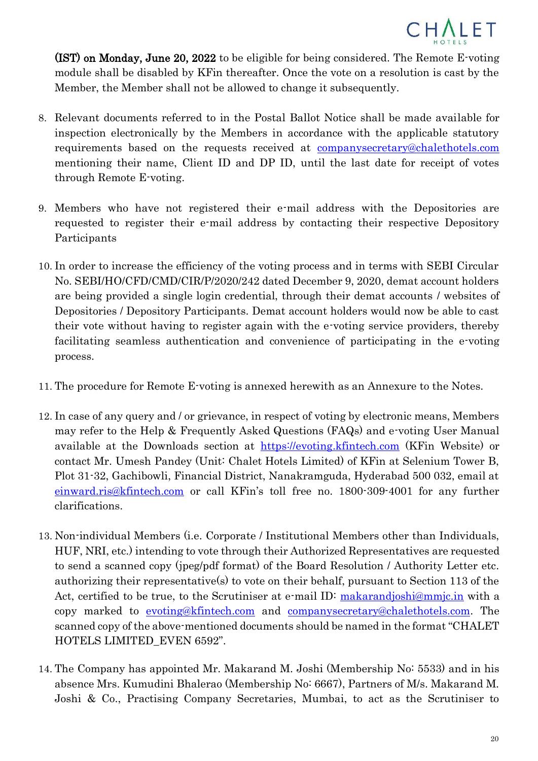

(IST) on Monday, June 20, 2022 to be eligible for being considered. The Remote E-voting module shall be disabled by KFin thereafter. Once the vote on a resolution is cast by the Member, the Member shall not be allowed to change it subsequently.

- 8. Relevant documents referred to in the Postal Ballot Notice shall be made available for inspection electronically by the Members in accordance with the applicable statutory requirements based on the requests received at [companysecretary@chalethotels.com](mailto:companysecretary@chalethotels.com) mentioning their name, Client ID and DP ID, until the last date for receipt of votes through Remote E-voting.
- 9. Members who have not registered their e-mail address with the Depositories are requested to register their e-mail address by contacting their respective Depository Participants
- 10. In order to increase the efficiency of the voting process and in terms with SEBI Circular No. SEBI/HO/CFD/CMD/CIR/P/2020/242 dated December 9, 2020, demat account holders are being provided a single login credential, through their demat accounts / websites of Depositories / Depository Participants. Demat account holders would now be able to cast their vote without having to register again with the e-voting service providers, thereby facilitating seamless authentication and convenience of participating in the e-voting process.
- 11. The procedure for Remote E-voting is annexed herewith as an Annexure to the Notes.
- 12. In case of any query and / or grievance, in respect of voting by electronic means, Members may refer to the Help & Frequently Asked Questions (FAQs) and e-voting User Manual available at the Downloads section at [https://evoting.kfintech.com](https://evoting.kfintech.com/) (KFin Website) or contact Mr. Umesh Pandey (Unit: Chalet Hotels Limited) of KFin at Selenium Tower B, Plot 31-32, Gachibowli, Financial District, Nanakramguda, Hyderabad 500 032, email at [einward.ris@kfintech.com](mailto:einward.ris@kfintech.com) or call KFin's toll free no. 1800-309-4001 for any further clarifications.
- 13. Non-individual Members (i.e. Corporate / Institutional Members other than Individuals, HUF, NRI, etc.) intending to vote through their Authorized Representatives are requested to send a scanned copy (jpeg/pdf format) of the Board Resolution / Authority Letter etc. authorizing their representative(s) to vote on their behalf, pursuant to Section 113 of the Act, certified to be true, to the Scrutiniser at e-mail ID: [makarandjoshi@mmjc.in](mailto:makarandjoshi@mmjc.in) with a copy marked to <evoting@kfintech.com> and [companysecretary@chalethotels.com.](mailto:companysecretary@chalethotels.com) The scanned copy of the above-mentioned documents should be named in the format "CHALET HOTELS LIMITED\_EVEN 6592".
- 14. The Company has appointed Mr. Makarand M. Joshi (Membership No: 5533) and in his absence Mrs. Kumudini Bhalerao (Membership No: 6667), Partners of M/s. Makarand M. Joshi & Co., Practising Company Secretaries, Mumbai, to act as the Scrutiniser to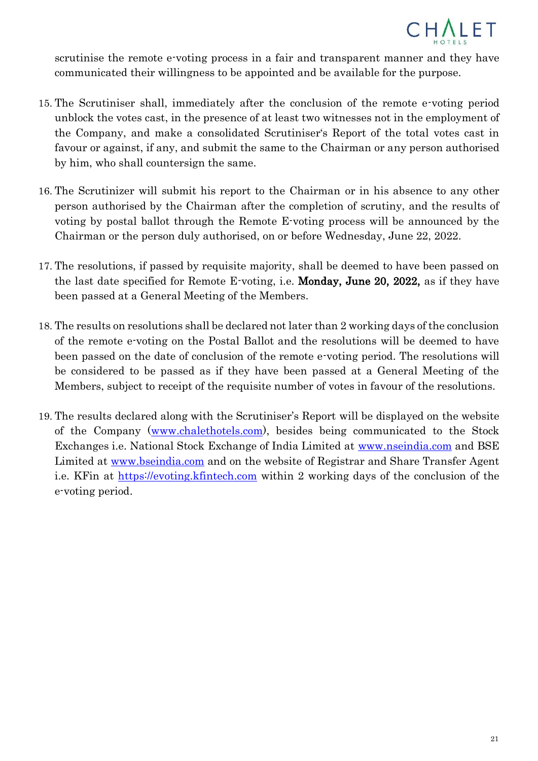

scrutinise the remote e-voting process in a fair and transparent manner and they have communicated their willingness to be appointed and be available for the purpose.

- 15. The Scrutiniser shall, immediately after the conclusion of the remote e-voting period unblock the votes cast, in the presence of at least two witnesses not in the employment of the Company, and make a consolidated Scrutiniser's Report of the total votes cast in favour or against, if any, and submit the same to the Chairman or any person authorised by him, who shall countersign the same.
- 16. The Scrutinizer will submit his report to the Chairman or in his absence to any other person authorised by the Chairman after the completion of scrutiny, and the results of voting by postal ballot through the Remote E-voting process will be announced by the Chairman or the person duly authorised, on or before Wednesday, June 22, 2022.
- 17. The resolutions, if passed by requisite majority, shall be deemed to have been passed on the last date specified for Remote E-voting, i.e. Monday, June 20, 2022, as if they have been passed at a General Meeting of the Members.
- 18. The results on resolutions shall be declared not later than 2 working days of the conclusion of the remote e-voting on the Postal Ballot and the resolutions will be deemed to have been passed on the date of conclusion of the remote e-voting period. The resolutions will be considered to be passed as if they have been passed at a General Meeting of the Members, subject to receipt of the requisite number of votes in favour of the resolutions.
- 19. The results declared along with the Scrutiniser's Report will be displayed on the website of the Company [\(www.chalethotels.com\)](https://www.chalethotels.com/), besides being communicated to the Stock Exchanges i.e. National Stock Exchange of India Limited at [www.nseindia.com](http://www.nseindia.com/) and BSE Limited at [www.bseindia.com](http://www.bseindia.com/) and on the website of Registrar and Share Transfer Agent i.e. KFin at [https://evoting.kfintech.com](https://evoting.kfintech.com/) within 2 working days of the conclusion of the e-voting period.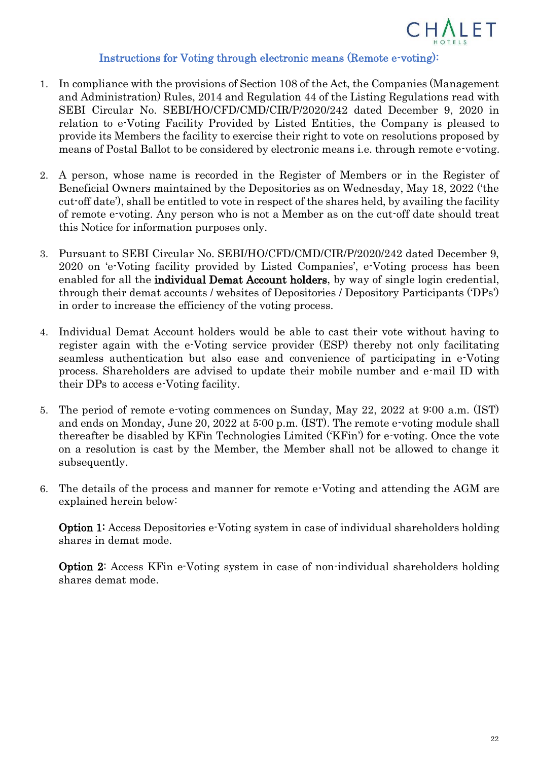

#### Instructions for Voting through electronic means (Remote e-voting):

- 1. In compliance with the provisions of Section 108 of the Act, the Companies (Management and Administration) Rules, 2014 and Regulation 44 of the Listing Regulations read with SEBI Circular No. SEBI/HO/CFD/CMD/CIR/P/2020/242 dated December 9, 2020 in relation to e-Voting Facility Provided by Listed Entities, the Company is pleased to provide its Members the facility to exercise their right to vote on resolutions proposed by means of Postal Ballot to be considered by electronic means i.e. through remote e-voting.
- 2. A person, whose name is recorded in the Register of Members or in the Register of Beneficial Owners maintained by the Depositories as on Wednesday, May 18, 2022 ('the cut-off date'), shall be entitled to vote in respect of the shares held, by availing the facility of remote e-voting. Any person who is not a Member as on the cut-off date should treat this Notice for information purposes only.
- 3. Pursuant to SEBI Circular No. SEBI/HO/CFD/CMD/CIR/P/2020/242 dated December 9, 2020 on 'e-Voting facility provided by Listed Companies', e-Voting process has been enabled for all the **individual Demat Account holders**, by way of single login credential, through their demat accounts / websites of Depositories / Depository Participants ('DPs') in order to increase the efficiency of the voting process.
- 4. Individual Demat Account holders would be able to cast their vote without having to register again with the e-Voting service provider (ESP) thereby not only facilitating seamless authentication but also ease and convenience of participating in e-Voting process. Shareholders are advised to update their mobile number and e-mail ID with their DPs to access e-Voting facility.
- 5. The period of remote e-voting commences on Sunday, May 22, 2022 at 9:00 a.m. (IST) and ends on Monday, June 20, 2022 at 5:00 p.m. (IST). The remote e-voting module shall thereafter be disabled by KFin Technologies Limited ('KFin') for e-voting. Once the vote on a resolution is cast by the Member, the Member shall not be allowed to change it subsequently.
- 6. The details of the process and manner for remote e-Voting and attending the AGM are explained herein below:

Option 1: Access Depositories e-Voting system in case of individual shareholders holding shares in demat mode.

Option 2: Access KFin e-Voting system in case of non-individual shareholders holding shares demat mode.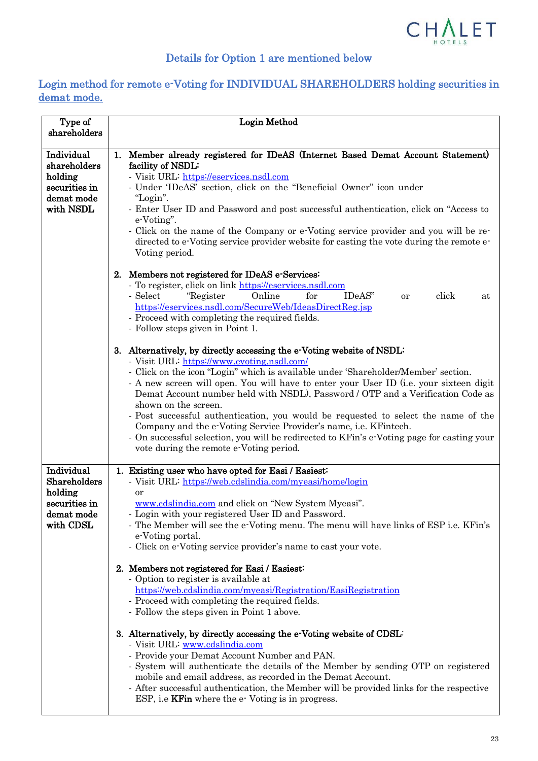

# Details for Option 1 are mentioned below

## Login method for remote e-Voting for INDIVIDUAL SHAREHOLDERS holding securities in demat mode.

| <b>Login Method</b>                                                                                                                                                                                                                                                                                                                                                                                                                                                                                                                                                                                                                                                                                                                                                                                                                                                                                                                                                                                                                                                                  |
|--------------------------------------------------------------------------------------------------------------------------------------------------------------------------------------------------------------------------------------------------------------------------------------------------------------------------------------------------------------------------------------------------------------------------------------------------------------------------------------------------------------------------------------------------------------------------------------------------------------------------------------------------------------------------------------------------------------------------------------------------------------------------------------------------------------------------------------------------------------------------------------------------------------------------------------------------------------------------------------------------------------------------------------------------------------------------------------|
|                                                                                                                                                                                                                                                                                                                                                                                                                                                                                                                                                                                                                                                                                                                                                                                                                                                                                                                                                                                                                                                                                      |
| 1. Member already registered for IDeAS (Internet Based Demat Account Statement)<br>facility of NSDL:<br>- Visit URL: https://eservices.nsdl.com<br>- Under 'IDeAS' section, click on the "Beneficial Owner" icon under<br>"Login".<br>- Enter User ID and Password and post successful authentication, click on "Access to<br>e-Voting".<br>- Click on the name of the Company or e-Voting service provider and you will be re-<br>directed to e-Voting service provider website for casting the vote during the remote e-<br>Voting period.                                                                                                                                                                                                                                                                                                                                                                                                                                                                                                                                         |
| 2. Members not registered for IDeAS e-Services:<br>- To register, click on link https://eservices.nsdl.com<br>Online<br>for<br>click<br>"Register"<br>IDeAS"<br>- Select<br>or<br>at<br>https://eservices.nsdl.com/SecureWeb/IdeasDirectReg.jsp<br>- Proceed with completing the required fields.<br>- Follow steps given in Point 1.                                                                                                                                                                                                                                                                                                                                                                                                                                                                                                                                                                                                                                                                                                                                                |
| 3. Alternatively, by directly accessing the e-Voting website of NSDL:<br>- Visit URL: https://www.evoting.nsdl.com/<br>- Click on the icon "Login" which is available under 'Shareholder/Member' section.<br>- A new screen will open. You will have to enter your User ID (i.e. your sixteen digit<br>Demat Account number held with NSDL), Password / OTP and a Verification Code as<br>shown on the screen.<br>- Post successful authentication, you would be requested to select the name of the<br>Company and the e-Voting Service Provider's name, <i>i.e.</i> KFintech.<br>- On successful selection, you will be redirected to KFin's e-Voting page for casting your<br>vote during the remote e-Voting period.                                                                                                                                                                                                                                                                                                                                                             |
| 1. Existing user who have opted for Easi / Easiest:<br>- Visit URL: https://web.cdslindia.com/myeasi/home/login<br>or<br>www.cdslindia.com and click on "New System Myeasi".<br>- Login with your registered User ID and Password.<br>- The Member will see the e-Voting menu. The menu will have links of ESP i.e. KFin's<br>e-Voting portal.<br>- Click on e-Voting service provider's name to cast your vote.<br>2. Members not registered for Easi / Easiest:<br>- Option to register is available at<br>https://web.cdslindia.com/myeasi/Registration/EasiRegistration<br>- Proceed with completing the required fields.<br>- Follow the steps given in Point 1 above.<br>3. Alternatively, by directly accessing the e-Voting website of CDSL:<br>- Visit URL www.cdslindia.com<br>- Provide your Demat Account Number and PAN.<br>- System will authenticate the details of the Member by sending OTP on registered<br>mobile and email address, as recorded in the Demat Account.<br>- After successful authentication, the Member will be provided links for the respective |
|                                                                                                                                                                                                                                                                                                                                                                                                                                                                                                                                                                                                                                                                                                                                                                                                                                                                                                                                                                                                                                                                                      |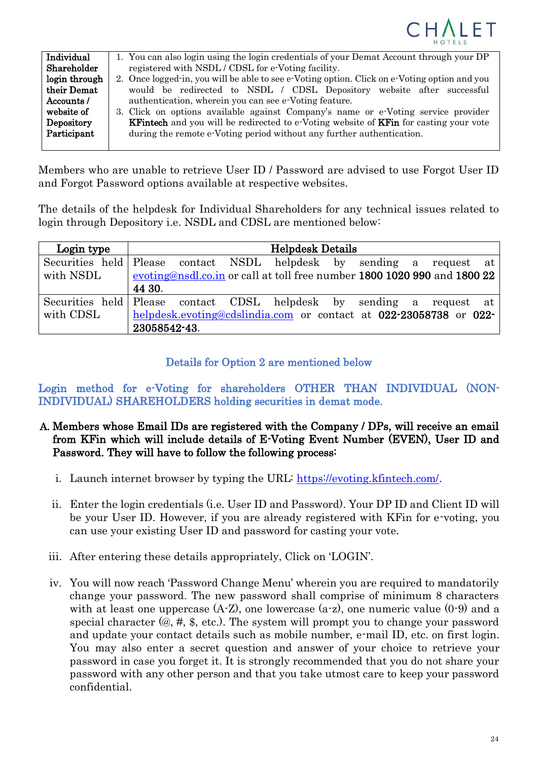

| Individual    | 1. You can also login using the login credentials of your Demat Account through your DP             |
|---------------|-----------------------------------------------------------------------------------------------------|
| Shareholder   | registered with NSDL / CDSL for e-Voting facility.                                                  |
| login through | 2. Once logged in, you will be able to see e Voting option. Click on e Voting option and you        |
| their Demat   | would be redirected to NSDL / CDSL Depository website after successful                              |
| Accounts /    | authentication, wherein you can see e-Voting feature.                                               |
| website of    | 3. Click on options available against Company's name or e-Voting service provider                   |
| Depository    | <b>KFintech</b> and you will be redirected to e-Voting website of <b>KFin</b> for casting your vote |
| Participant   | during the remote e-Voting period without any further authentication.                               |
|               |                                                                                                     |

Members who are unable to retrieve User ID / Password are advised to use Forgot User ID and Forgot Password options available at respective websites.

The details of the helpdesk for Individual Shareholders for any technical issues related to login through Depository i.e. NSDL and CDSL are mentioned below:

| Login type | <b>Helpdesk Details</b>                                                  |
|------------|--------------------------------------------------------------------------|
|            | Securities held Please contact NSDL helpdesk by sending a request at     |
| with NSDL  | evoting@nsdl.co.in or call at toll free number 1800 1020 990 and 1800 22 |
|            | 44 30.                                                                   |
|            | Securities held Please contact CDSL helpdesk by sending a request at     |
| with CDSL  | helpdesk.evoting@cdslindia.com or contact at 022-23058738 or 022-        |
|            | 23058542-43.                                                             |

## Details for Option 2 are mentioned below

Login method for e-Voting for shareholders OTHER THAN INDIVIDUAL (NON-INDIVIDUAL) SHAREHOLDERS holding securities in demat mode.

- A. Members whose Email IDs are registered with the Company / DPs, will receive an email from KFin which will include details of E-Voting Event Number (EVEN), User ID and Password. They will have to follow the following process:
	- i. Launch internet browser by typing the URL: [https://evoting.kfintech.com/.](https://evoting.kfintech.com/)
	- ii. Enter the login credentials (i.e. User ID and Password). Your DP ID and Client ID will be your User ID. However, if you are already registered with KFin for e-voting, you can use your existing User ID and password for casting your vote.
	- iii. After entering these details appropriately, Click on 'LOGIN'.
	- iv. You will now reach 'Password Change Menu' wherein you are required to mandatorily change your password. The new password shall comprise of minimum 8 characters with at least one uppercase  $(A-Z)$ , one lowercase  $(a-z)$ , one numeric value  $(0-9)$  and a special character (@, #, \$, etc.). The system will prompt you to change your password and update your contact details such as mobile number, e-mail ID, etc. on first login. You may also enter a secret question and answer of your choice to retrieve your password in case you forget it. It is strongly recommended that you do not share your password with any other person and that you take utmost care to keep your password confidential.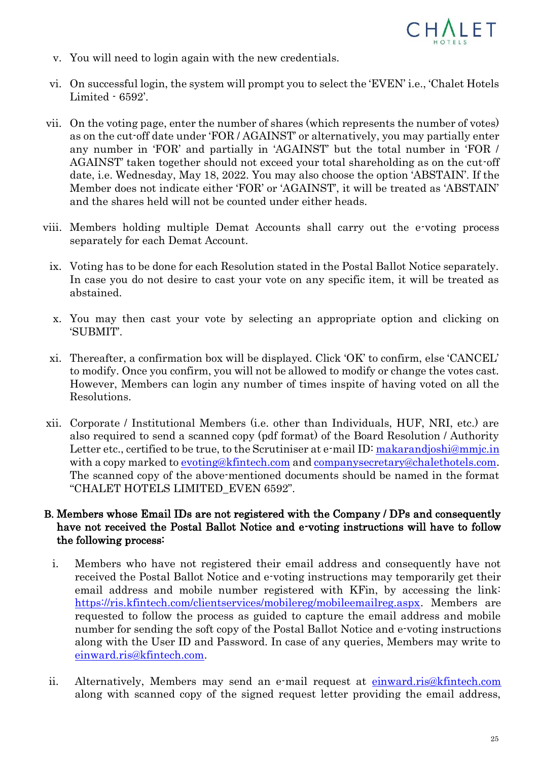

- v. You will need to login again with the new credentials.
- vi. On successful login, the system will prompt you to select the 'EVEN' i.e., 'Chalet Hotels Limited - 6592'.
- vii. On the voting page, enter the number of shares (which represents the number of votes) as on the cut-off date under 'FOR / AGAINST' or alternatively, you may partially enter any number in 'FOR' and partially in 'AGAINST' but the total number in 'FOR / AGAINST' taken together should not exceed your total shareholding as on the cut-off date, i.e. Wednesday, May 18, 2022. You may also choose the option 'ABSTAIN'. If the Member does not indicate either 'FOR' or 'AGAINST', it will be treated as 'ABSTAIN' and the shares held will not be counted under either heads.
- viii. Members holding multiple Demat Accounts shall carry out the e-voting process separately for each Demat Account.
	- ix. Voting has to be done for each Resolution stated in the Postal Ballot Notice separately. In case you do not desire to cast your vote on any specific item, it will be treated as abstained.
	- x. You may then cast your vote by selecting an appropriate option and clicking on 'SUBMIT'.
	- xi. Thereafter, a confirmation box will be displayed. Click 'OK' to confirm, else 'CANCEL' to modify. Once you confirm, you will not be allowed to modify or change the votes cast. However, Members can login any number of times inspite of having voted on all the Resolutions.
- xii. Corporate / Institutional Members (i.e. other than Individuals, HUF, NRI, etc.) are also required to send a scanned copy (pdf format) of the Board Resolution / Authority Letter etc., certified to be true, to the Scrutiniser at e-mail ID: [makarandjoshi@mmjc.in](mailto:scrutinisers@mmjc.in) with a copy marked to [evoting@kfintech.com](mailto:evoting@kfintech.com) and [companysecretary@chalethotels.com.](mailto:companysecretary@chalethotels.com) The scanned copy of the above-mentioned documents should be named in the format "CHALET HOTELS LIMITED\_EVEN 6592".

### B. Members whose Email IDs are not registered with the Company / DPs and consequently have not received the Postal Ballot Notice and e-voting instructions will have to follow the following process:

- i. Members who have not registered their email address and consequently have not received the Postal Ballot Notice and e-voting instructions may temporarily get their email address and mobile number registered with KFin, by accessing the link: [https://ris.kfintech.com/clientservices/mobilereg/mobileemailreg.aspx.](https://ris.kfintech.com/clientservices/mobilereg/mobileemailreg.aspx) Members are requested to follow the process as guided to capture the email address and mobile number for sending the soft copy of the Postal Ballot Notice and e-voting instructions along with the User ID and Password. In case of any queries, Members may write to [einward.ris@kfintech.com.](mailto:einward.ris@kfintech.com)
- ii. Alternatively, Members may send an e-mail request at [einward.ris@kfintech.com](mailto:einward.ris@kfintech.com) along with scanned copy of the signed request letter providing the email address,